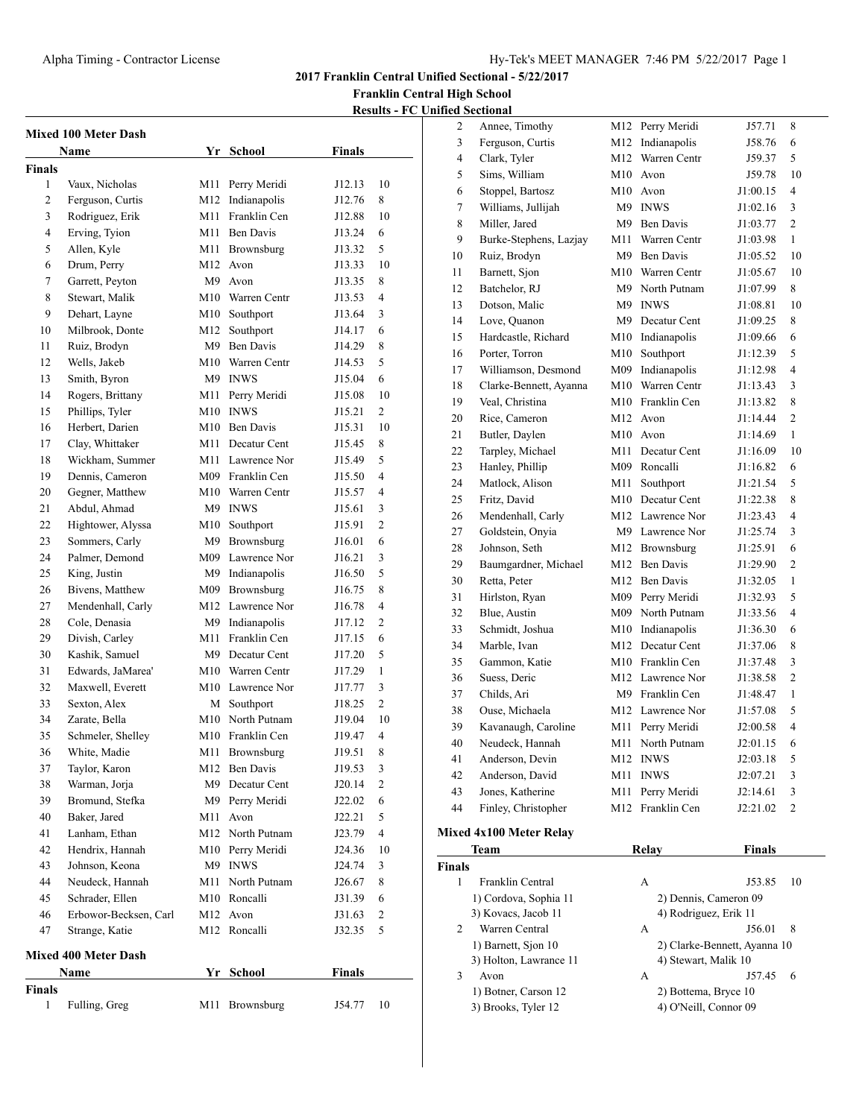**2017 Franklin Central Unified Sectional - 5/22/2017**

**Franklin Central High School**

|--|

|                | <b>Mixed 100 Meter Dash</b>      |            |                         |                  |                  |
|----------------|----------------------------------|------------|-------------------------|------------------|------------------|
|                | Name                             |            | Yr School               | <b>Finals</b>    |                  |
| <b>Finals</b>  |                                  |            |                         |                  |                  |
| 1              | Vaux, Nicholas                   | M11        | Perry Meridi            | J12.13           | 10               |
| 2              | Ferguson, Curtis                 |            | M12 Indianapolis        | J12.76           | 8                |
| 3              | Rodriguez, Erik                  | M11        | Franklin Cen            | J12.88           | 10               |
| $\overline{4}$ | Erving, Tyion                    |            | M11 Ben Davis           | J13.24           | 6                |
| 5              | Allen, Kyle                      |            | M11 Brownsburg          | J13.32           | 5                |
| 6              | Drum, Perry                      |            | M <sub>12</sub> Avon    | J13.33           | 10               |
| 7              | Garrett, Peyton                  |            | M9 Avon                 | J13.35           | 8                |
| 8              | Stewart, Malik                   |            | M10 Warren Centr        | J13.53           | 4                |
| 9              | Dehart, Layne                    |            | M10 Southport           | J13.64           | 3                |
| 10             | Milbrook, Donte                  | M12        | Southport               | J14.17           | 6                |
| 11             | Ruiz, Brodyn                     |            | M9 Ben Davis            | J14.29           | 8                |
| 12             | Wells, Jakeb                     |            | M10 Warren Centr        | J14.53           | 5                |
| 13             | Smith, Byron                     |            | M9 INWS                 | J15.04           | 6                |
| 14             | Rogers, Brittany                 | M11        | Perry Meridi            | J15.08           | 10               |
| 15             | Phillips, Tyler                  |            | M10 INWS                | J15.21           | $\overline{2}$   |
| 16             | Herbert, Darien                  |            | M10 Ben Davis           | J15.31           | 10               |
| 17             | Clay, Whittaker                  |            | M11 Decatur Cent        | J15.45           | 8                |
| 18             | Wickham, Summer                  |            | M11 Lawrence Nor        | J15.49           | 5                |
| 19             | Dennis, Cameron                  |            | M09 Franklin Cen        | J15.50           | 4                |
| 20             | Gegner, Matthew                  |            | M10 Warren Centr        | J15.57           | 4                |
| 21             | Abdul, Ahmad                     |            | M9 INWS                 | J15.61           | 3                |
| 22             | Hightower, Alyssa                | M10        | Southport               | J15.91           | 2                |
| 23             | Sommers, Carly                   | M9         | Brownsburg              | J16.01           | 6                |
| 24             | Palmer, Demond                   |            | M09 Lawrence Nor        | J16.21           | 3                |
| 25             | King, Justin                     | M9         | Indianapolis            | J16.50           | 5                |
| 26             | Bivens, Matthew                  |            | M09 Brownsburg          | J16.75           | 8                |
| 27             | Mendenhall, Carly                |            | M12 Lawrence Nor        | J16.78           | 4                |
| 28             | Cole, Denasia                    |            | M9 Indianapolis         | J17.12           | $\overline{c}$   |
| 29             | Divish, Carley                   |            | M11 Franklin Cen        | J17.15           | 6                |
| 30             | Kashik, Samuel                   |            | M9 Decatur Cent         | J17.20           | 5                |
| 31             | Edwards, JaMarea'                |            | M10 Warren Centr        | J17.29           | $\mathbf{1}$     |
| 32             | Maxwell, Everett                 |            | M10 Lawrence Nor        | J17.77           | 3                |
| 33             | Sexton, Alex                     |            | M Southport             | J18.25           | 2                |
| 34             | Zarate, Bella                    |            | M10 North Putnam        | J19.04           | 10               |
| 35             | Schmeler, Shelley                |            | M10 Franklin Cen        | J19.47           | $\overline{4}$   |
|                |                                  |            |                         |                  | 8                |
| 36<br>37       | White, Madie<br>Taylor, Karon    | M11<br>M12 | Brownsburg<br>Ben Davis | J19.51<br>J19.53 | 3                |
| 38             | Warman, Jorja                    |            | M9 Decatur Cent         |                  | $\mathfrak{2}$   |
| 39             | Bromund, Stefka                  |            | M9 Perry Meridi         | J20.14<br>J22.02 | 6                |
| 40             | Baker, Jared                     |            | M11 Avon                |                  | 5                |
|                |                                  |            |                         | J22.21           | $\overline{4}$   |
| 41<br>42       | Lanham, Ethan<br>Hendrix, Hannah |            | M12 North Putnam        | J23.79           |                  |
|                |                                  |            | M10 Perry Meridi        | J24.36           | 10               |
| 43             | Johnson, Keona                   |            | M9 INWS                 | J24.74           | 3                |
| 44             | Neudeck, Hannah                  | M11        | North Putnam            | J26.67           | 8                |
| 45             | Schrader, Ellen                  |            | M10 Roncalli            | J31.39           | 6                |
| 46             | Erbowor-Becksen, Carl            |            | M <sub>12</sub> Avon    | J31.63           | $\boldsymbol{2}$ |
| 47             | Strange, Katie                   | M12        | Roncalli                | J32.35           | 5                |
|                | <b>Mixed 400 Meter Dash</b>      |            |                         |                  |                  |
|                | Name                             |            | Yr School               | <b>Finals</b>    |                  |
| <b>Finals</b>  |                                  |            |                         |                  |                  |
| 1              | Fulling, Greg                    | M11        | Brownsburg              | J54.77           | 10               |
|                |                                  |            |                         |                  |                  |

| 2      | Annee, Timothy                 |     | M12 Perry Meridi      | J57.71                       | 8              |
|--------|--------------------------------|-----|-----------------------|------------------------------|----------------|
| 3      | Ferguson, Curtis               | M12 | Indianapolis          | J58.76                       | 6              |
| 4      | Clark, Tyler                   | M12 | Warren Centr          | J59.37                       | 5              |
| 5      | Sims, William                  | M10 | Avon                  | J59.78                       | 10             |
| 6      | Stoppel, Bartosz               | M10 | Avon                  | J1:00.15                     | 4              |
| 7      | Williams, Jullijah             | M9  | <b>INWS</b>           | J1:02.16                     | 3              |
| 8      | Miller, Jared                  | M9  | <b>Ben Davis</b>      | J1:03.77                     | $\overline{c}$ |
| 9      | Burke-Stephens, Lazjay         | M11 | Warren Centr          | J1:03.98                     | 1              |
| 10     | Ruiz, Brodyn                   | M9  | <b>Ben Davis</b>      | J1:05.52                     | 10             |
| 11     | Barnett, Sjon                  | M10 | Warren Centr          | J1:05.67                     | 10             |
| 12     | Batchelor, RJ                  | M9  | North Putnam          | J1:07.99                     | 8              |
| 13     | Dotson, Malic                  | M9  | <b>INWS</b>           | J1:08.81                     | 10             |
| 14     | Love, Quanon                   | M9  | Decatur Cent          | J1:09.25                     | 8              |
| 15     | Hardcastle, Richard            | M10 | Indianapolis          | J1:09.66                     | 6              |
|        | Porter, Torron                 |     | Southport             |                              | 5              |
| 16     |                                | M10 |                       | J1:12.39                     |                |
| 17     | Williamson, Desmond            | M09 | Indianapolis          | J1:12.98                     | 4              |
| 18     | Clarke-Bennett, Ayanna         | M10 | Warren Centr          | J1:13.43                     | 3              |
| 19     | Veal. Christina                | M10 | Franklin Cen          | J1:13.82                     | 8              |
| 20     | Rice, Cameron                  | M12 | Avon                  | J1:14.44                     | 2              |
| 21     | Butler, Daylen                 | M10 | Avon                  | J1:14.69                     | 1              |
| 22     | Tarpley, Michael               | M11 | Decatur Cent          | J1:16.09                     | 10             |
| 23     | Hanley, Phillip                | M09 | Roncalli              | J1:16.82                     | 6              |
| 24     | Matlock, Alison                | M11 | Southport             | J1:21.54                     | 5              |
| 25     | Fritz, David                   | M10 | Decatur Cent          | J1:22.38                     | 8              |
| 26     | Mendenhall, Carly              |     | M12 Lawrence Nor      | J1:23.43                     | 4              |
| 27     | Goldstein, Onyia               |     | M9 Lawrence Nor       | J1:25.74                     | 3              |
| 28     | Johnson, Seth                  |     | M12 Brownsburg        | J1:25.91                     | 6              |
| 29     | Baumgardner, Michael           | M12 | <b>Ben Davis</b>      | J1:29.90                     | $\overline{c}$ |
| 30     | Retta, Peter                   | M12 | <b>Ben Davis</b>      | J1:32.05                     | $\mathbf{1}$   |
| 31     | Hirlston, Ryan                 | M09 | Perry Meridi          | J1:32.93                     | 5              |
| 32     | Blue, Austin                   | M09 | North Putnam          | J1:33.56                     | 4              |
| 33     | Schmidt, Joshua                | M10 | Indianapolis          | J1:36.30                     | 6              |
| 34     | Marble, Ivan                   | M12 | Decatur Cent          | J1:37.06                     | 8              |
| 35     | Gammon, Katie                  | M10 | Franklin Cen          | J1:37.48                     | 3              |
| 36     | Suess, Deric                   | M12 | Lawrence Nor          | J1:38.58                     | $\overline{2}$ |
| 37     | Childs, Ari                    |     | M9 Franklin Cen       | J1:48.47                     | $\mathbf{1}$   |
| 38     | Ouse, Michaela                 |     | M12 Lawrence Nor      | J1:57.08                     | 5              |
| 39     | Kavanaugh, Caroline            | M11 | Perry Meridi          | J2:00.58                     | 4              |
| 40     | Neudeck, Hannah                | M11 | North Putnam          | J2:01.15                     | 6              |
| 41     | Anderson, Devin                | M12 | <b>INWS</b>           | J2:03.18                     | 5              |
| 42     | Anderson, David                | M11 | <b>INWS</b>           | J2:07.21                     | 3              |
| 43     | Jones, Katherine               | M11 | Perry Meridi          | J2:14.61                     | 3              |
| 44     | Finley, Christopher            | M12 | Franklin Cen          | J2:21.02                     | 2              |
|        |                                |     |                       |                              |                |
|        | <b>Mixed 4x100 Meter Relay</b> |     |                       |                              |                |
|        | Team                           |     | Relay                 | <b>Finals</b>                |                |
| Finals |                                |     |                       |                              |                |
| 1      | Franklin Central               |     | А                     | J53.85                       | 10             |
|        | 1) Cordova, Sophia 11          |     | 2) Dennis, Cameron 09 |                              |                |
|        | 3) Kovacs, Jacob 11            |     | 4) Rodriguez, Erik 11 |                              |                |
| 2      | Warren Central                 |     | А                     | J56.01                       | 8              |
|        | 1) Barnett, Sjon 10            |     |                       | 2) Clarke-Bennett, Ayanna 10 |                |
|        | 3) Holton, Lawrance 11         |     | 4) Stewart, Malik 10  |                              |                |
| 3      | Avon                           |     | А                     | J57.45                       | 6              |

1) Botner, Carson 12 2) Bottema, Bryce 10 3) Brooks, Tyler 12 4) O'Neill, Connor 09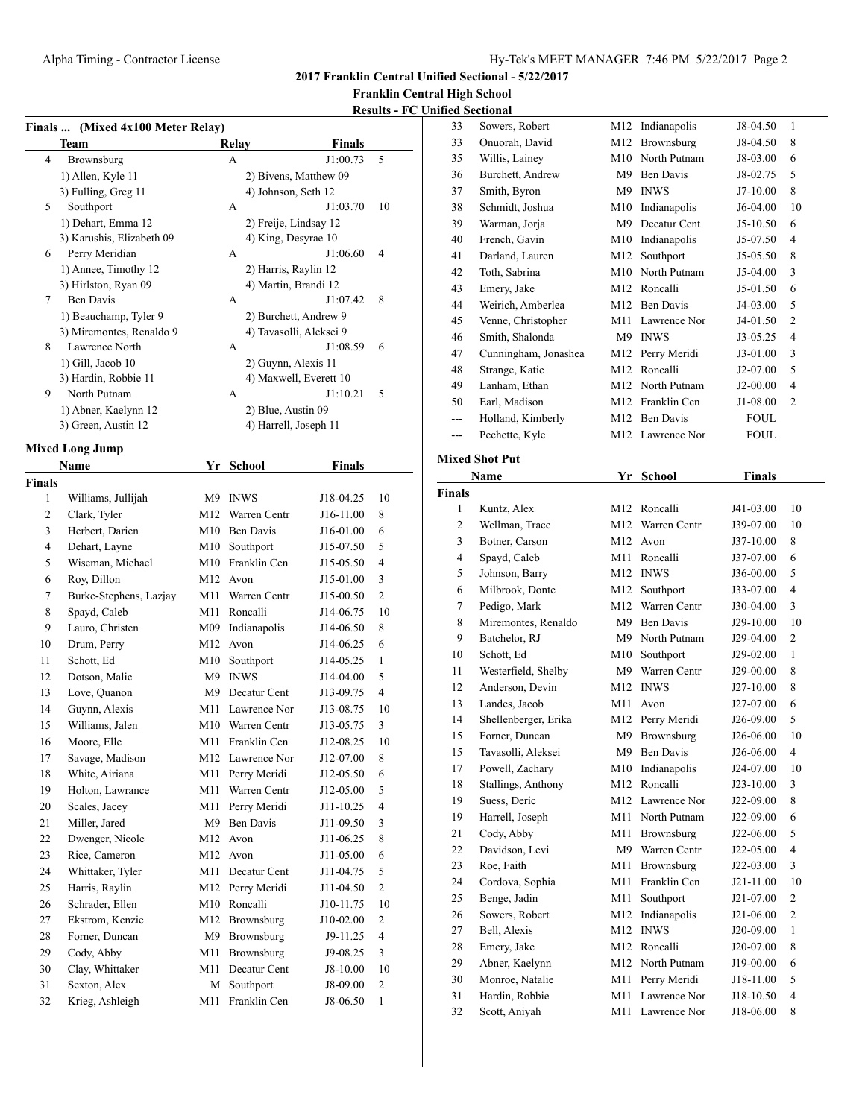**2017 Franklin Central Unified Sectional - 5/22/2017**

## **Franklin Central High School**

## **Results - FC Unified S**

 $\overline{\phantom{a}}$ 

|                 |                           |     |                         |               | <u> Kesuits - FC</u> |
|-----------------|---------------------------|-----|-------------------------|---------------|----------------------|
| <b>Finals …</b> | (Mixed 4x100 Meter Relay) |     |                         |               |                      |
|                 | Team                      |     | Relay                   | Finals        |                      |
| $\overline{4}$  | Brownsburg                |     | A                       | J1:00.73      | 5                    |
|                 | 1) Allen, Kyle 11         |     | 2) Bivens, Matthew 09   |               |                      |
|                 | 3) Fulling, Greg 11       |     | 4) Johnson, Seth 12     |               |                      |
| 5               | Southport                 |     | А                       | J1:03.70      | 10                   |
|                 | 1) Dehart, Emma 12        |     | 2) Freije, Lindsay 12   |               |                      |
|                 | 3) Karushis, Elizabeth 09 |     | 4) King, Desyrae 10     |               |                      |
| 6               | Perry Meridian            |     | A                       | J1:06.60      | $\overline{4}$       |
|                 | 1) Annee, Timothy 12      |     | 2) Harris, Raylin 12    |               |                      |
|                 | 3) Hirlston, Ryan 09      |     | 4) Martin, Brandi 12    |               |                      |
| $\tau$          | <b>Ben Davis</b>          |     | A                       | J1:07.42      | 8                    |
|                 | 1) Beauchamp, Tyler 9     |     | 2) Burchett, Andrew 9   |               |                      |
|                 | 3) Miremontes, Renaldo 9  |     | 4) Tavasolli, Aleksei 9 |               |                      |
| 8               | Lawrence North            |     | A                       | J1:08.59      | 6                    |
|                 | 1) Gill, Jacob 10         |     | 2) Guynn, Alexis 11     |               |                      |
|                 | 3) Hardin, Robbie 11      |     | 4) Maxwell, Everett 10  |               |                      |
| 9               | North Putnam              |     | A                       | J1:10.21      | 5                    |
|                 | 1) Abner, Kaelynn 12      |     | 2) Blue, Austin 09      |               |                      |
|                 | 3) Green, Austin 12       |     | 4) Harrell, Joseph 11   |               |                      |
|                 | <b>Mixed Long Jump</b>    |     |                         |               |                      |
|                 | <b>Name</b>               |     | Yr School               | <b>Finals</b> |                      |
| Finals          |                           |     |                         |               |                      |
| 1               | Williams, Jullijah        |     | M9 INWS                 | J18-04.25     | 10                   |
| $\overline{c}$  | Clark, Tyler              |     | M12 Warren Centr        | J16-11.00     | 8                    |
| 3               | Herbert, Darien           |     | M10 Ben Davis           | J16-01.00     | 6                    |
| $\overline{4}$  | Dehart, Layne             |     | M10 Southport           | J15-07.50     | 5                    |
| 5               | Wiseman, Michael          |     | M10 Franklin Cen        | J15-05.50     | $\overline{4}$       |
| 6               | Roy, Dillon               |     | M <sub>12</sub> Avon    | J15-01.00     | 3                    |
| 7               | Burke-Stephens, Lazjay    | M11 | Warren Centr            | J15-00.50     | $\overline{c}$       |
| 8               | Spayd, Caleb              | M11 | Roncalli                | J14-06.75     | 10                   |
| 9               | Lauro, Christen           |     | M09 Indianapolis        | J14-06.50     | 8                    |
| 10              | Drum, Perry               |     | M12 Avon                | J14-06.25     | 6                    |
| 11              | Schott, Ed                |     | M10 Southport           | J14-05.25     | 1                    |
| 12              | Dotson, Malic             |     | M9 INWS                 | J14-04.00     | 5                    |
| 13              | Love, Quanon              |     | M9 Decatur Cent         | J13-09.75     | 4                    |
| 14              | Guynn, Alexis             |     | M11 Lawrence Nor        | J13-08.75     | 10                   |
| 15              | Williams, Jalen           |     | M10 Warren Centr        | J13-05.75     | 3                    |
| 16              | Moore, Elle               |     | M11 Franklin Cen        | J12-08.25     | 10                   |
| 17              | Savage, Madison           |     | M12 Lawrence Nor        | J12-07.00     | 8                    |
|                 |                           |     |                         |               |                      |
| 18              | White, Airiana            | M11 | Perry Meridi            | J12-05.50     | 6                    |
| 19              | Holton, Lawrance          | M11 | Warren Centr            | J12-05.00     | 5                    |
| 20              | Scales, Jacey             | M11 | Perry Meridi            | J11-10.25     | $\overline{4}$       |

 Miller, Jared M9 Ben Davis J11-09.50 3 22 Dwenger, Nicole M12 Avon J11-06.25 8 Rice, Cameron M12 Avon J11-05.00 6 24 Whittaker, Tyler M11 Decatur Cent J11-04.75 5 Harris, Raylin M12 Perry Meridi J11-04.50 2 Schrader, Ellen M10 Roncalli J10-11.75 10 Ekstrom, Kenzie M12 Brownsburg J10-02.00 2 Forner, Duncan M9 Brownsburg J9-11.25 4 Cody, Abby M11 Brownsburg J9-08.25 3 Clay, Whittaker M11 Decatur Cent J8-10.00 10 31 Sexton, Alex M Southport J8-09.00 2 Krieg, Ashleigh M11 Franklin Cen J8-06.50 1

| 33  | Onuorah, David                 | M12<br>M10     | Brownsburg<br>North Putnam | J8-04.50    | 8              |  |  |
|-----|--------------------------------|----------------|----------------------------|-------------|----------------|--|--|
| 35  | Willis, Lainey                 |                |                            | J8-03.00    | 6              |  |  |
| 36  | Burchett, Andrew               | M <sup>9</sup> | <b>Ben Davis</b>           | J8-02.75    | 5              |  |  |
| 37  | Smith, Byron                   | M <sup>9</sup> | <b>INWS</b>                | $J7-10.00$  | 8              |  |  |
| 38  | Schmidt, Joshua                | M10            | Indianapolis               | J6-04.00    | 10             |  |  |
| 39  | Warman, Jorja                  | M <sup>9</sup> | Decatur Cent               | $J5-10.50$  | 6              |  |  |
| 40  | French, Gavin                  | M10            | Indianapolis               | J5-07.50    | 4              |  |  |
| 41  | Darland, Lauren                | M12            | Southport                  | J5-05.50    | 8              |  |  |
| 42  | Toth, Sabrina                  | M10            | North Putnam               | J5-04.00    | 3              |  |  |
| 43  | Emery, Jake                    | M12            | Roncalli                   | J5-01.50    | 6              |  |  |
| 44  | Weirich, Amberlea              | M12            | <b>Ben Davis</b>           | J4-03.00    | 5              |  |  |
| 45  | Venne, Christopher             | M11            | Lawrence Nor               | J4-01.50    | $\overline{c}$ |  |  |
| 46  | Smith, Shalonda                | M <sup>9</sup> | <b>INWS</b>                | $J3-05.25$  | 4              |  |  |
| 47  | Cunningham, Jonashea           | M12            | Perry Meridi               | J3-01.00    | 3              |  |  |
| 48  | Strange, Katie                 | M12            | Roncalli                   | J2-07.00    | 5              |  |  |
| 49  | Lanham, Ethan                  | M12            | North Putnam               | $J2-00.00$  | 4              |  |  |
| 50  | Earl, Madison                  | M12            | Franklin Cen               | J1-08.00    | $\overline{c}$ |  |  |
| --- | Holland, Kimberly              | M12            | <b>Ben Davis</b>           | <b>FOUL</b> |                |  |  |
| --- | Pechette, Kyle                 |                | M12 Lawrence Nor           | <b>FOUL</b> |                |  |  |
|     | <b>Mixed Shot Put</b>          |                |                            |             |                |  |  |
|     | Name<br>Yr<br>School<br>Finals |                |                            |             |                |  |  |

| <b>Finals</b>  |                      |     |                  |           |                          |
|----------------|----------------------|-----|------------------|-----------|--------------------------|
| 1              | Kuntz, Alex          |     | M12 Roncalli     | J41-03.00 | 10                       |
| $\overline{2}$ | Wellman, Trace       | M12 | Warren Centr     | J39-07.00 | 10                       |
| 3              | Botner, Carson       | M12 | Avon             | J37-10.00 | 8                        |
| $\overline{4}$ | Spayd, Caleb         | M11 | Roncalli         | J37-07.00 | 6                        |
| 5              | Johnson, Barry       | M12 | <b>INWS</b>      | J36-00.00 | 5                        |
| 6              | Milbrook, Donte      | M12 | Southport        | J33-07.00 | $\overline{\mathbf{4}}$  |
| $\tau$         | Pedigo, Mark         | M12 | Warren Centr     | J30-04.00 | 3                        |
| 8              | Miremontes, Renaldo  | M9  | <b>Ben Davis</b> | J29-10.00 | 10                       |
| 9              | Batchelor, RJ        | M9  | North Putnam     | J29-04.00 | $\overline{2}$           |
| 10             | Schott, Ed           | M10 | Southport        | J29-02.00 | 1                        |
| 11             | Westerfield, Shelby  | M9  | Warren Centr     | J29-00.00 | 8                        |
| 12             | Anderson, Devin      | M12 | <b>INWS</b>      | J27-10.00 | 8                        |
| 13             | Landes, Jacob        | M11 | Avon             | J27-07.00 | 6                        |
| 14             | Shellenberger, Erika | M12 | Perry Meridi     | J26-09.00 | 5                        |
| 15             | Forner, Duncan       | M9  | Brownsburg       | J26-06.00 | 10                       |
| 15             | Tavasolli, Aleksei   | M9  | <b>Ben Davis</b> | J26-06.00 | $\overline{4}$           |
| 17             | Powell, Zachary      | M10 | Indianapolis     | J24-07.00 | 10                       |
| 18             | Stallings, Anthony   | M12 | Roncalli         | J23-10.00 | 3                        |
| 19             | Suess, Deric         | M12 | Lawrence Nor     | J22-09.00 | 8                        |
| 19             | Harrell, Joseph      | M11 | North Putnam     | J22-09.00 | 6                        |
| 21             | Cody, Abby           | M11 | Brownsburg       | J22-06.00 | 5                        |
| 22             | Davidson, Levi       | M9  | Warren Centr     | J22-05.00 | 4                        |
| 23             | Roe, Faith           | M11 | Brownsburg       | J22-03.00 | 3                        |
| 24             | Cordova, Sophia      | M11 | Franklin Cen     | J21-11.00 | 10                       |
| 25             | Benge, Jadin         | M11 | Southport        | J21-07.00 | $\overline{2}$           |
| 26             | Sowers, Robert       | M12 | Indianapolis     | J21-06.00 | $\overline{c}$           |
| 27             | Bell, Alexis         | M12 | <b>INWS</b>      | J20-09.00 | 1                        |
| 28             | Emery, Jake          | M12 | Roncalli         | J20-07.00 | 8                        |
| 29             | Abner, Kaelynn       | M12 | North Putnam     | J19-00.00 | 6                        |
| 30             | Monroe, Natalie      | M11 | Perry Meridi     | J18-11.00 | 5                        |
| 31             | Hardin, Robbie       | M11 | Lawrence Nor     | J18-10.50 | $\overline{\mathcal{L}}$ |
| 32             | Scott, Aniyah        | M11 | Lawrence Nor     | J18-06.00 | 8                        |